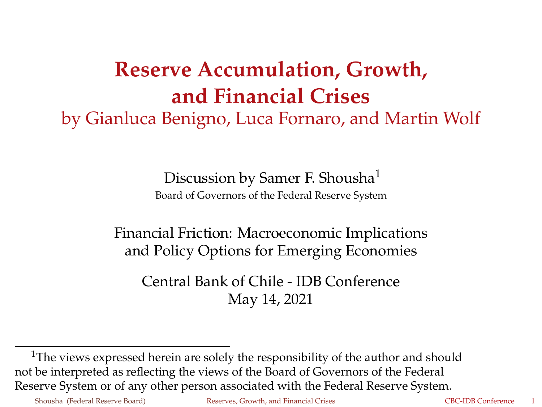## **Reserve Accumulation, Growth, and Financial Crises** by Gianluca Benigno, Luca Fornaro, and Martin Wolf

Discussion by Samer F. Shousha<sup>1</sup>

Board of Governors of the Federal Reserve System

Financial Friction: Macroeconomic Implications and Policy Options for Emerging Economies

<span id="page-0-0"></span>Central Bank of Chile - IDB Conference May 14, 2021

 $1$ The views expressed herein are solely the responsibility of the author and should not be interpreted as reflecting the views of the Board of Governors of the Federal Reserve System or of any other person associated with the Federal Reserve System.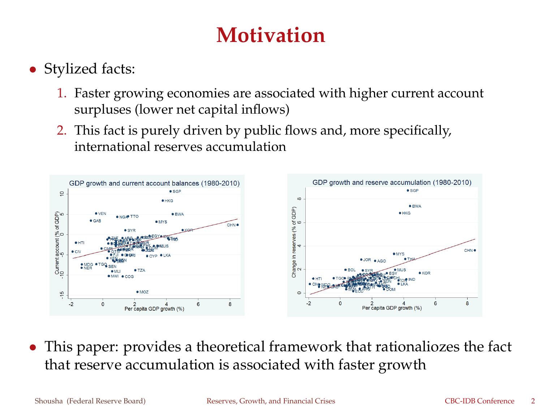## **Motivation**

- Stylized facts:
	- 1. Faster growing economies are associated with higher current account surpluses (lower net capital inflows)
	- 2. This fact is purely driven by public flows and, more specifically, international reserves accumulation



• This paper: provides a theoretical framework that rationaliozes the fact that reserve accumulation is associated with faster growth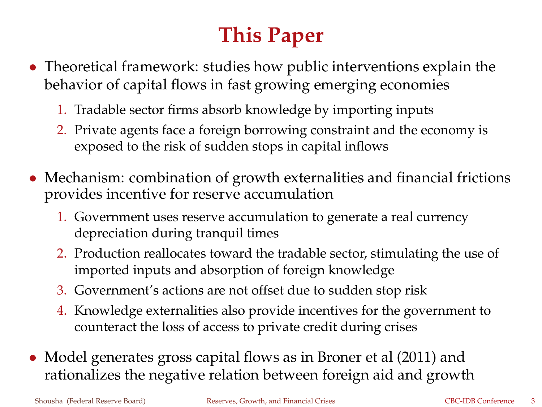## **This Paper**

- Theoretical framework: studies how public interventions explain the behavior of capital flows in fast growing emerging economies
	- 1. Tradable sector firms absorb knowledge by importing inputs
	- 2. Private agents face a foreign borrowing constraint and the economy is exposed to the risk of sudden stops in capital inflows
- Mechanism: combination of growth externalities and financial frictions provides incentive for reserve accumulation
	- 1. Government uses reserve accumulation to generate a real currency depreciation during tranquil times
	- 2. Production reallocates toward the tradable sector, stimulating the use of imported inputs and absorption of foreign knowledge
	- 3. Government's actions are not offset due to sudden stop risk
	- 4. Knowledge externalities also provide incentives for the government to counteract the loss of access to private credit during crises
- Model generates gross capital flows as in Broner et al (2011) and rationalizes the negative relation between foreign aid and growth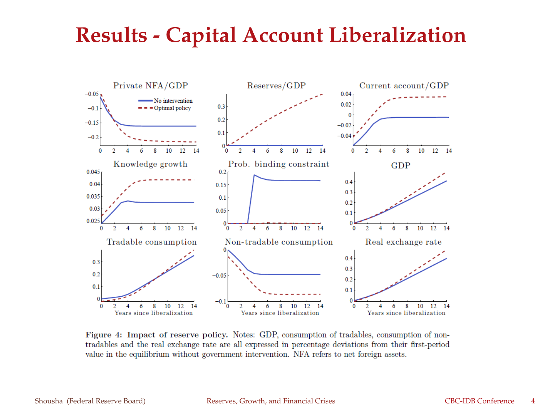### **Results - Capital Account Liberalization**



Figure 4: Impact of reserve policy. Notes: GDP, consumption of tradables, consumption of nontradables and the real exchange rate are all expressed in percentage deviations from their first-period value in the equilibrium without government intervention. NFA refers to net foreign assets.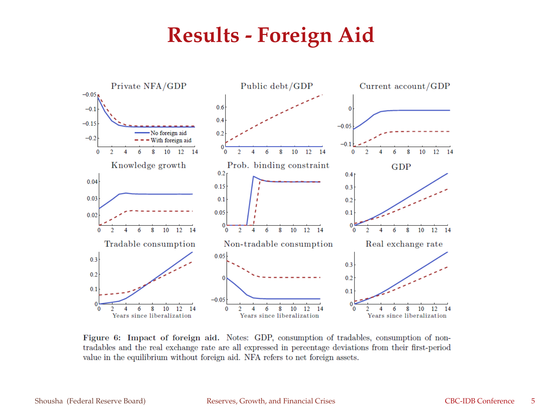#### **Results - Foreign Aid**



Figure 6: Impact of foreign aid. Notes: GDP, consumption of tradables, consumption of nontradables and the real exchange rate are all expressed in percentage deviations from their first-period value in the equilibrium without foreign aid. NFA refers to net foreign assets.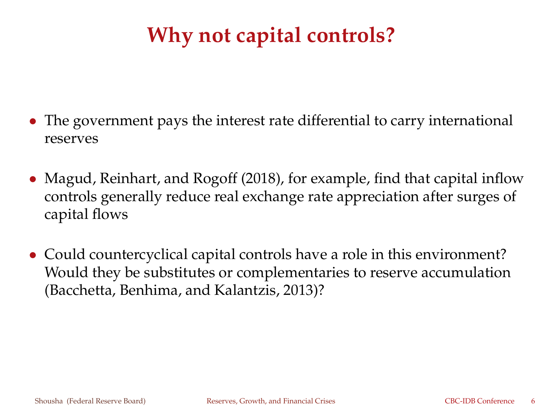## **Why not capital controls?**

- The government pays the interest rate differential to carry international reserves
- Magud, Reinhart, and Rogoff (2018), for example, find that capital inflow controls generally reduce real exchange rate appreciation after surges of capital flows
- Could countercyclical capital controls have a role in this environment? Would they be substitutes or complementaries to reserve accumulation (Bacchetta, Benhima, and Kalantzis, 2013)?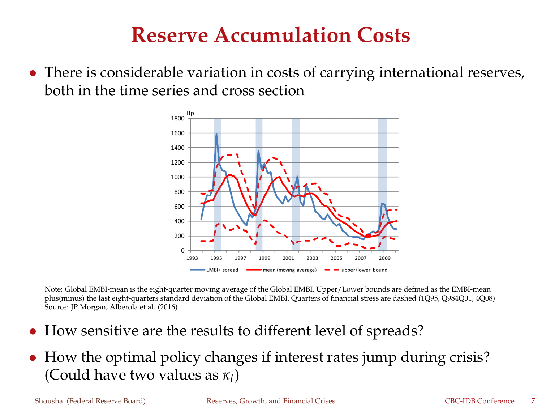#### **Reserve Accumulation Costs**

• There is considerable variation in costs of carrying international reserves, both in the time series and cross section



Note: Global EMBI-mean is the eight-quarter moving average of the Global EMBI. Upper/Lower bounds are defined as the EMBI-mean plus(minus) the last eight-quarters standard deviation of the Global EMBI. Quarters of financial stress are dashed (1Q95, Q984Q01, 4Q08) Source: JP Morgan, Alberola et al. (2016)

- How sensitive are the results to different level of spreads?
- How the optimal policy changes if interest rates jump during crisis? (Could have two values as *κt*)

Shousha (Federal Reserve Board) **[Reserves, Growth, and Financial Crises](#page-0-0)** CBC-IDB Conference 7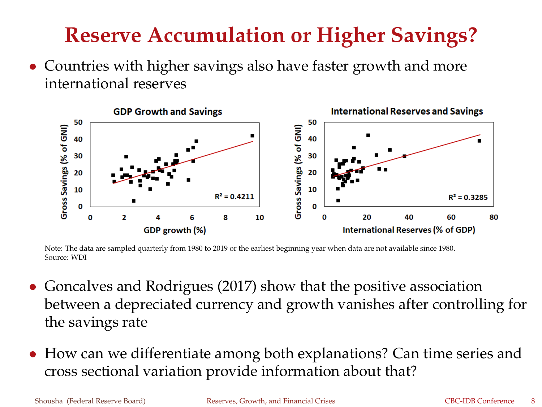## **Reserve Accumulation or Higher Savings?**

• Countries with higher savings also have faster growth and more international reserves



Note: The data are sampled quarterly from 1980 to 2019 or the earliest beginning year when data are not available since 1980. Source: WDI

- Goncalves and Rodrigues (2017) show that the positive association between a depreciated currency and growth vanishes after controlling for the savings rate
- How can we differentiate among both explanations? Can time series and cross sectional variation provide information about that?

Shousha (Federal Reserve Board) [Reserves, Growth, and Financial Crises](#page-0-0) CBC-IDB Conference 8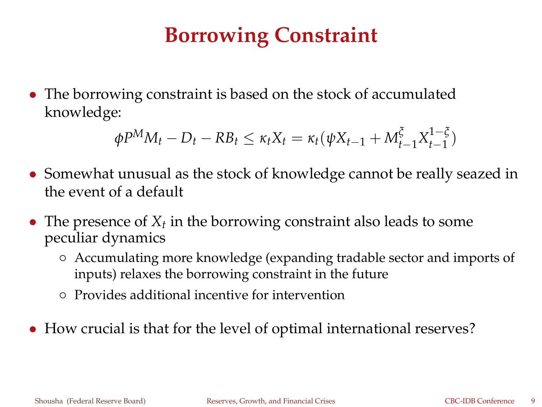## **Borrowing Constraint**

• The borrowing constraint is based on the stock of accumulated knowledge:

$$
\phi P^{M} M_{t} - D_{t} - R B_{t} \leq \kappa_{t} X_{t} = \kappa_{t} (\psi X_{t-1} + M_{t-1}^{\xi} X_{t-1}^{1-\xi})
$$

- Somewhat unusual as the stock of knowledge cannot be really seazed in the event of a default
- The presence of  $X_t$  in the borrowing constraint also leads to some peculiar dynamics
	- Accumulating more knowledge (expanding tradable sector and imports of inputs) relaxes the borrowing constraint in the future
	- Provides additional incentive for intervention
- How crucial is that for the level of optimal international reserves?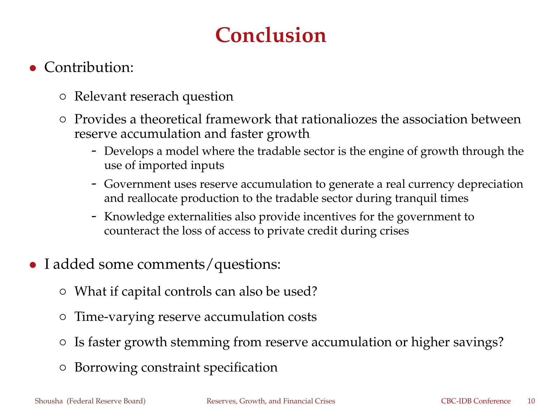## **Conclusion**

#### • Contribution:

- Relevant reserach question
- Provides a theoretical framework that rationaliozes the association between reserve accumulation and faster growth
	- Develops a model where the tradable sector is the engine of growth through the use of imported inputs
	- Government uses reserve accumulation to generate a real currency depreciation and reallocate production to the tradable sector during tranquil times
	- Knowledge externalities also provide incentives for the government to counteract the loss of access to private credit during crises
- I added some comments/questions:
	- What if capital controls can also be used?
	- Time-varying reserve accumulation costs
	- Is faster growth stemming from reserve accumulation or higher savings?
	- Borrowing constraint specification